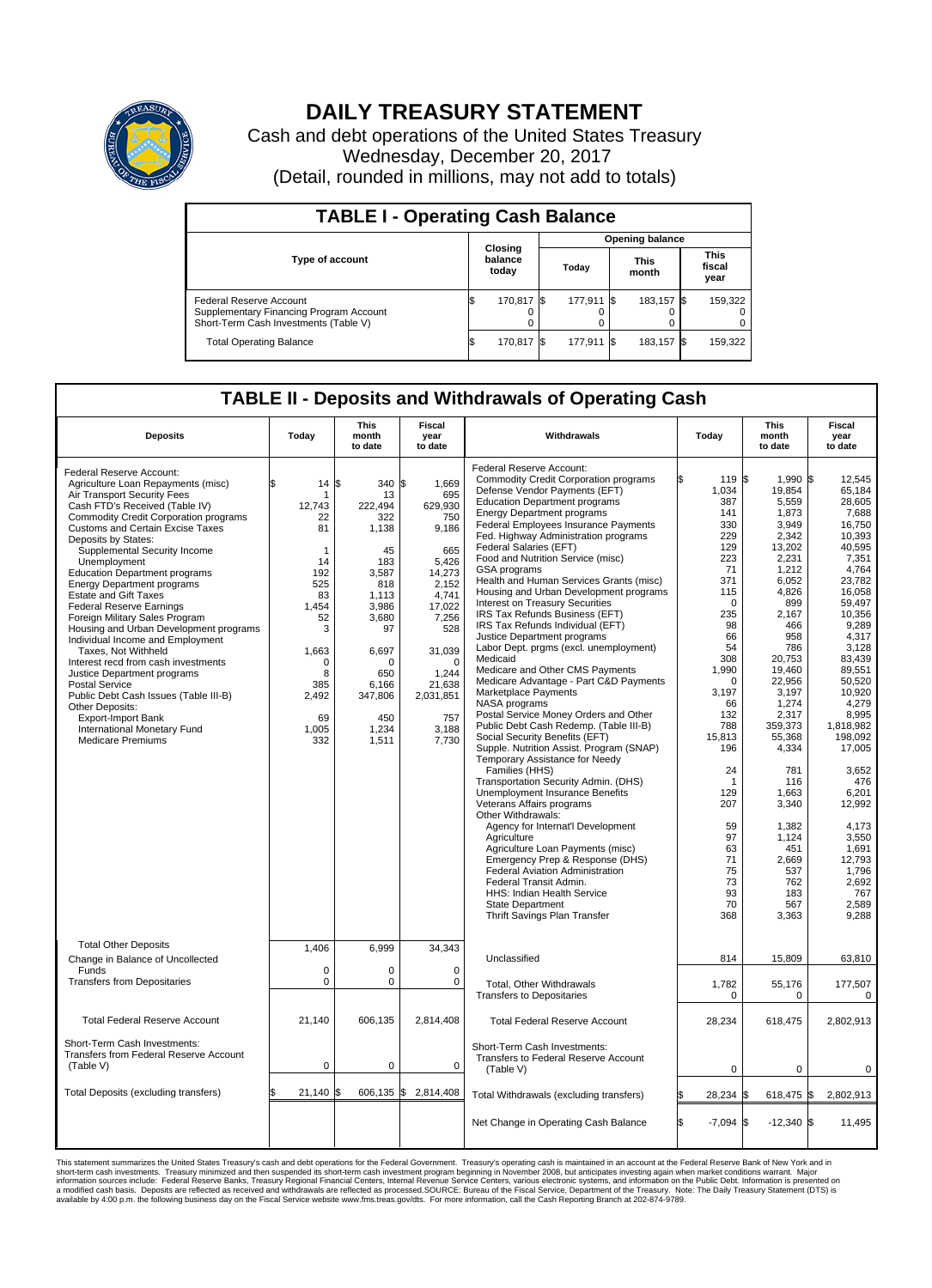

## **DAILY TREASURY STATEMENT**

Cash and debt operations of the United States Treasury Wednesday, December 20, 2017 (Detail, rounded in millions, may not add to totals)

| <b>TABLE I - Operating Cash Balance</b>                                                                            |     |                                    |  |                        |  |                      |  |                               |  |
|--------------------------------------------------------------------------------------------------------------------|-----|------------------------------------|--|------------------------|--|----------------------|--|-------------------------------|--|
|                                                                                                                    |     |                                    |  | <b>Opening balance</b> |  |                      |  |                               |  |
| <b>Type of account</b>                                                                                             |     | <b>Closing</b><br>balance<br>today |  | Today                  |  | <b>This</b><br>month |  | <b>This</b><br>fiscal<br>year |  |
| <b>Federal Reserve Account</b><br>Supplementary Financing Program Account<br>Short-Term Cash Investments (Table V) |     | 170.817 \\$                        |  | 177,911 \$             |  | 183.157 \$           |  | 159,322                       |  |
| <b>Total Operating Balance</b>                                                                                     | I\$ | 170,817 \$                         |  | 177,911                |  | 183,157 \$           |  | 159,322                       |  |

## **TABLE II - Deposits and Withdrawals of Operating Cash**

| <b>Deposits</b>                                                                                                                                                                                                                                                                                                                                                                                                                                                                                                                                                                                                                                                                                                                                                                                                                             | Today                                                                                                                                                     | <b>This</b><br>month<br>to date                                                                                                                                                    | <b>Fiscal</b><br>year<br>to date                                                                                                                                                                    | Withdrawals                                                                                                                                                                                                                                                                                                                                                                                                                                                                                                                                                                                                                                                                                                                                                                                                                                                                                                                                                                                                                                                                                                                                                                                                                                                                                                                                                                                               | Today                                                                                                                                                                                                                                                                        | <b>This</b><br>month<br>to date                                                                                                                                                                                                                                                                                                         | <b>Fiscal</b><br>year<br>to date                                                                                                                                                                                                                                                                                                                                      |  |
|---------------------------------------------------------------------------------------------------------------------------------------------------------------------------------------------------------------------------------------------------------------------------------------------------------------------------------------------------------------------------------------------------------------------------------------------------------------------------------------------------------------------------------------------------------------------------------------------------------------------------------------------------------------------------------------------------------------------------------------------------------------------------------------------------------------------------------------------|-----------------------------------------------------------------------------------------------------------------------------------------------------------|------------------------------------------------------------------------------------------------------------------------------------------------------------------------------------|-----------------------------------------------------------------------------------------------------------------------------------------------------------------------------------------------------|-----------------------------------------------------------------------------------------------------------------------------------------------------------------------------------------------------------------------------------------------------------------------------------------------------------------------------------------------------------------------------------------------------------------------------------------------------------------------------------------------------------------------------------------------------------------------------------------------------------------------------------------------------------------------------------------------------------------------------------------------------------------------------------------------------------------------------------------------------------------------------------------------------------------------------------------------------------------------------------------------------------------------------------------------------------------------------------------------------------------------------------------------------------------------------------------------------------------------------------------------------------------------------------------------------------------------------------------------------------------------------------------------------------|------------------------------------------------------------------------------------------------------------------------------------------------------------------------------------------------------------------------------------------------------------------------------|-----------------------------------------------------------------------------------------------------------------------------------------------------------------------------------------------------------------------------------------------------------------------------------------------------------------------------------------|-----------------------------------------------------------------------------------------------------------------------------------------------------------------------------------------------------------------------------------------------------------------------------------------------------------------------------------------------------------------------|--|
| Federal Reserve Account:<br>Agriculture Loan Repayments (misc)<br>Air Transport Security Fees<br>Cash FTD's Received (Table IV)<br><b>Commodity Credit Corporation programs</b><br><b>Customs and Certain Excise Taxes</b><br>Deposits by States:<br>Supplemental Security Income<br>Unemployment<br><b>Education Department programs</b><br><b>Energy Department programs</b><br><b>Estate and Gift Taxes</b><br><b>Federal Reserve Earnings</b><br>Foreign Military Sales Program<br>Housing and Urban Development programs<br>Individual Income and Employment<br>Taxes, Not Withheld<br>Interest recd from cash investments<br>Justice Department programs<br><b>Postal Service</b><br>Public Debt Cash Issues (Table III-B)<br>Other Deposits:<br><b>Export-Import Bank</b><br>International Monetary Fund<br><b>Medicare Premiums</b> | 14<br>12,743<br>22<br>81<br>$\mathbf{1}$<br>14<br>192<br>525<br>83<br>1.454<br>52<br>3<br>1,663<br>$\mathbf 0$<br>8<br>385<br>2,492<br>69<br>1,005<br>332 | l\$<br>340<br>13<br>222,494<br>322<br>1,138<br>45<br>183<br>3,587<br>818<br>1,113<br>3.986<br>3,680<br>97<br>6,697<br>$\Omega$<br>650<br>6,166<br>347,806<br>450<br>1,234<br>1,511 | l\$<br>1,669<br>695<br>629,930<br>750<br>9,186<br>665<br>5,426<br>14,273<br>2,152<br>4,741<br>17,022<br>7,256<br>528<br>31,039<br>$\Omega$<br>1,244<br>21,638<br>2,031,851<br>757<br>3,188<br>7,730 | Federal Reserve Account:<br><b>Commodity Credit Corporation programs</b><br>Defense Vendor Payments (EFT)<br><b>Education Department programs</b><br><b>Energy Department programs</b><br>Federal Employees Insurance Payments<br>Fed. Highway Administration programs<br>Federal Salaries (EFT)<br>Food and Nutrition Service (misc)<br>GSA programs<br>Health and Human Services Grants (misc)<br>Housing and Urban Development programs<br>Interest on Treasury Securities<br>IRS Tax Refunds Business (EFT)<br>IRS Tax Refunds Individual (EFT)<br>Justice Department programs<br>Labor Dept. prgms (excl. unemployment)<br>Medicaid<br>Medicare and Other CMS Payments<br>Medicare Advantage - Part C&D Payments<br>Marketplace Payments<br>NASA programs<br>Postal Service Money Orders and Other<br>Public Debt Cash Redemp. (Table III-B)<br>Social Security Benefits (EFT)<br>Supple. Nutrition Assist. Program (SNAP)<br>Temporary Assistance for Needy<br>Families (HHS)<br>Transportation Security Admin. (DHS)<br><b>Unemployment Insurance Benefits</b><br>Veterans Affairs programs<br>Other Withdrawals:<br>Agency for Internat'l Development<br>Agriculture<br>Agriculture Loan Payments (misc)<br>Emergency Prep & Response (DHS)<br>Federal Aviation Administration<br>Federal Transit Admin.<br>HHS: Indian Health Service<br><b>State Department</b><br>Thrift Savings Plan Transfer | 119 \$<br>1,034<br>387<br>141<br>330<br>229<br>129<br>223<br>71<br>371<br>115<br>$\Omega$<br>235<br>98<br>66<br>54<br>308<br>1,990<br>$\Omega$<br>3,197<br>66<br>132<br>788<br>15,813<br>196<br>24<br>1<br>129<br>207<br>59<br>97<br>63<br>71<br>75<br>73<br>93<br>70<br>368 | 1.990 \$<br>19,854<br>5,559<br>1,873<br>3,949<br>2,342<br>13,202<br>2,231<br>1,212<br>6,052<br>4,826<br>899<br>2.167<br>466<br>958<br>786<br>20,753<br>19,460<br>22,956<br>3,197<br>1,274<br>2,317<br>359,373<br>55,368<br>4,334<br>781<br>116<br>1.663<br>3,340<br>1,382<br>1,124<br>451<br>2,669<br>537<br>762<br>183<br>567<br>3,363 | 12.545<br>65,184<br>28,605<br>7.688<br>16,750<br>10,393<br>40,595<br>7,351<br>4,764<br>23.782<br>16,058<br>59,497<br>10.356<br>9,289<br>4,317<br>3,128<br>83,439<br>89,551<br>50,520<br>10,920<br>4,279<br>8,995<br>1.818.982<br>198,092<br>17,005<br>3,652<br>476<br>6,201<br>12,992<br>4.173<br>3,550<br>1,691<br>12.793<br>1,796<br>2,692<br>767<br>2,589<br>9,288 |  |
| <b>Total Other Deposits</b><br>Change in Balance of Uncollected                                                                                                                                                                                                                                                                                                                                                                                                                                                                                                                                                                                                                                                                                                                                                                             | 1,406                                                                                                                                                     | 6,999                                                                                                                                                                              | 34,343                                                                                                                                                                                              | Unclassified                                                                                                                                                                                                                                                                                                                                                                                                                                                                                                                                                                                                                                                                                                                                                                                                                                                                                                                                                                                                                                                                                                                                                                                                                                                                                                                                                                                              | 814                                                                                                                                                                                                                                                                          | 15,809                                                                                                                                                                                                                                                                                                                                  | 63,810                                                                                                                                                                                                                                                                                                                                                                |  |
| Funds<br><b>Transfers from Depositaries</b>                                                                                                                                                                                                                                                                                                                                                                                                                                                                                                                                                                                                                                                                                                                                                                                                 | $\mathbf 0$<br>$\mathbf 0$                                                                                                                                | $\Omega$<br>$\pmb{0}$                                                                                                                                                              | $\Omega$<br>0                                                                                                                                                                                       | Total, Other Withdrawals<br><b>Transfers to Depositaries</b>                                                                                                                                                                                                                                                                                                                                                                                                                                                                                                                                                                                                                                                                                                                                                                                                                                                                                                                                                                                                                                                                                                                                                                                                                                                                                                                                              | 1,782<br>$\mathbf 0$                                                                                                                                                                                                                                                         | 55,176<br>$\mathbf 0$                                                                                                                                                                                                                                                                                                                   | 177,507<br>$\mathbf 0$                                                                                                                                                                                                                                                                                                                                                |  |
| <b>Total Federal Reserve Account</b>                                                                                                                                                                                                                                                                                                                                                                                                                                                                                                                                                                                                                                                                                                                                                                                                        | 21,140                                                                                                                                                    | 606.135                                                                                                                                                                            | 2,814,408                                                                                                                                                                                           | <b>Total Federal Reserve Account</b>                                                                                                                                                                                                                                                                                                                                                                                                                                                                                                                                                                                                                                                                                                                                                                                                                                                                                                                                                                                                                                                                                                                                                                                                                                                                                                                                                                      | 28,234                                                                                                                                                                                                                                                                       | 618,475                                                                                                                                                                                                                                                                                                                                 | 2,802,913                                                                                                                                                                                                                                                                                                                                                             |  |
| Short-Term Cash Investments:<br><b>Transfers from Federal Reserve Account</b><br>(Table V)                                                                                                                                                                                                                                                                                                                                                                                                                                                                                                                                                                                                                                                                                                                                                  | $\mathbf 0$                                                                                                                                               | $\pmb{0}$                                                                                                                                                                          | 0                                                                                                                                                                                                   | Short-Term Cash Investments:<br>Transfers to Federal Reserve Account<br>(Table V)                                                                                                                                                                                                                                                                                                                                                                                                                                                                                                                                                                                                                                                                                                                                                                                                                                                                                                                                                                                                                                                                                                                                                                                                                                                                                                                         | $\mathbf 0$                                                                                                                                                                                                                                                                  | 0                                                                                                                                                                                                                                                                                                                                       | 0                                                                                                                                                                                                                                                                                                                                                                     |  |
| <b>Total Deposits (excluding transfers)</b>                                                                                                                                                                                                                                                                                                                                                                                                                                                                                                                                                                                                                                                                                                                                                                                                 | $21,140$ \$                                                                                                                                               |                                                                                                                                                                                    | 606,135 \$2,814,408                                                                                                                                                                                 | Total Withdrawals (excluding transfers)                                                                                                                                                                                                                                                                                                                                                                                                                                                                                                                                                                                                                                                                                                                                                                                                                                                                                                                                                                                                                                                                                                                                                                                                                                                                                                                                                                   | 28,234 \$                                                                                                                                                                                                                                                                    | 618,475 \$                                                                                                                                                                                                                                                                                                                              | 2,802,913                                                                                                                                                                                                                                                                                                                                                             |  |
|                                                                                                                                                                                                                                                                                                                                                                                                                                                                                                                                                                                                                                                                                                                                                                                                                                             |                                                                                                                                                           |                                                                                                                                                                                    |                                                                                                                                                                                                     | Net Change in Operating Cash Balance                                                                                                                                                                                                                                                                                                                                                                                                                                                                                                                                                                                                                                                                                                                                                                                                                                                                                                                                                                                                                                                                                                                                                                                                                                                                                                                                                                      | $-7,094$ \$<br>ß.                                                                                                                                                                                                                                                            | $-12,340$ \$                                                                                                                                                                                                                                                                                                                            | 11,495                                                                                                                                                                                                                                                                                                                                                                |  |

This statement summarizes the United States Treasury's cash and debt operations for the Federal Government. Treasury soperating in November 2008, but anticiarded in a cocount at the Federal Reserve Bank of New York and in<br>